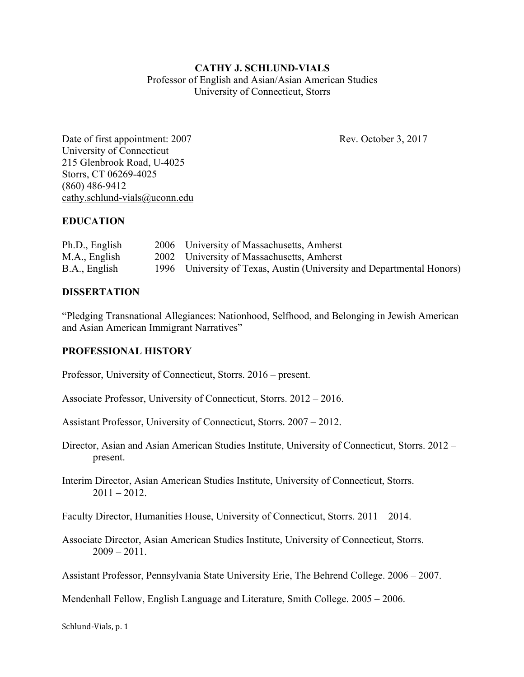## **CATHY J. SCHLUND-VIALS** Professor of English and Asian/Asian American Studies University of Connecticut, Storrs

Date of first appointment: 2007 Rev. October 3, 2017 University of Connecticut 215 Glenbrook Road, U-4025 Storrs, CT 06269-4025 (860) 486-9412 cathy.schlund-vials@uconn.edu

## **EDUCATION**

| Ph.D., English | 2006 University of Massachusetts, Amherst                             |
|----------------|-----------------------------------------------------------------------|
| M.A., English  | 2002 University of Massachusetts, Amherst                             |
| B.A., English  | 1996 University of Texas, Austin (University and Departmental Honors) |

### **DISSERTATION**

"Pledging Transnational Allegiances: Nationhood, Selfhood, and Belonging in Jewish American and Asian American Immigrant Narratives"

### **PROFESSIONAL HISTORY**

Professor, University of Connecticut, Storrs. 2016 – present.

Associate Professor, University of Connecticut, Storrs. 2012 – 2016.

Assistant Professor, University of Connecticut, Storrs. 2007 – 2012.

Director, Asian and Asian American Studies Institute, University of Connecticut, Storrs. 2012 – present.

Interim Director, Asian American Studies Institute, University of Connecticut, Storrs.  $2011 - 2012$ .

Faculty Director, Humanities House, University of Connecticut, Storrs. 2011 – 2014.

Associate Director, Asian American Studies Institute, University of Connecticut, Storrs.  $2009 - 2011$ .

Assistant Professor, Pennsylvania State University Erie, The Behrend College. 2006 – 2007.

Mendenhall Fellow, English Language and Literature, Smith College. 2005 – 2006.

Schlund-Vials, p. 1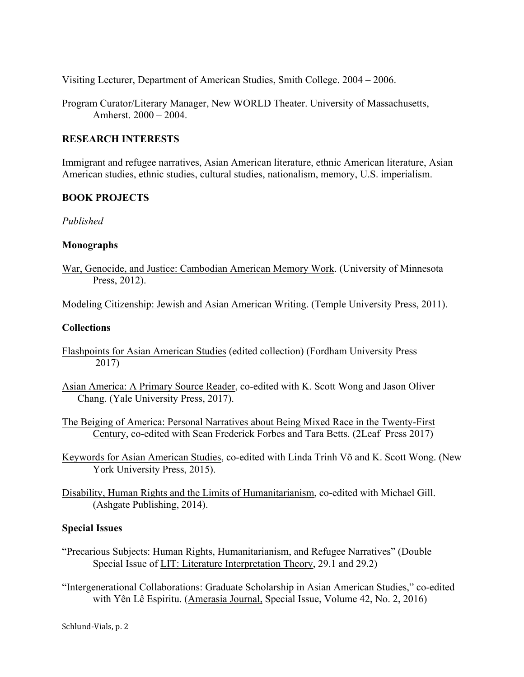Visiting Lecturer, Department of American Studies, Smith College. 2004 – 2006.

Program Curator/Literary Manager, New WORLD Theater. University of Massachusetts, Amherst. 2000 – 2004.

#### **RESEARCH INTERESTS**

Immigrant and refugee narratives, Asian American literature, ethnic American literature, Asian American studies, ethnic studies, cultural studies, nationalism, memory, U.S. imperialism.

#### **BOOK PROJECTS**

#### *Published*

#### **Monographs**

War, Genocide, and Justice: Cambodian American Memory Work. (University of Minnesota Press, 2012).

Modeling Citizenship: Jewish and Asian American Writing. (Temple University Press, 2011).

#### **Collections**

- Flashpoints for Asian American Studies (edited collection) (Fordham University Press 2017)
- Asian America: A Primary Source Reader, co-edited with K. Scott Wong and Jason Oliver Chang. (Yale University Press, 2017).
- The Beiging of America: Personal Narratives about Being Mixed Race in the Twenty-First Century, co-edited with Sean Frederick Forbes and Tara Betts. (2Leaf Press 2017)
- Keywords for Asian American Studies, co-edited with Linda Trinh Võ and K. Scott Wong. (New York University Press, 2015).
- Disability, Human Rights and the Limits of Humanitarianism, co-edited with Michael Gill. (Ashgate Publishing, 2014).

### **Special Issues**

- "Precarious Subjects: Human Rights, Humanitarianism, and Refugee Narratives" (Double Special Issue of LIT: Literature Interpretation Theory, 29.1 and 29.2)
- "Intergenerational Collaborations: Graduate Scholarship in Asian American Studies," co-edited with Yên Lê Espiritu. (Amerasia Journal, Special Issue, Volume 42, No. 2, 2016)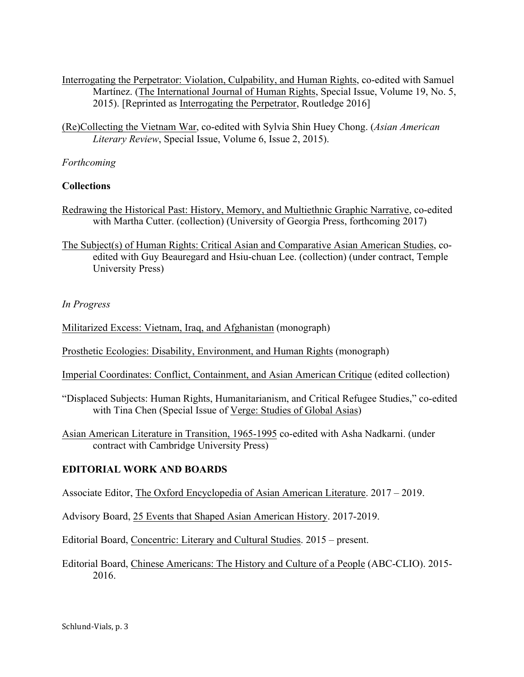- Interrogating the Perpetrator: Violation, Culpability, and Human Rights, co-edited with Samuel Martínez. (The International Journal of Human Rights, Special Issue, Volume 19, No. 5, 2015). [Reprinted as Interrogating the Perpetrator, Routledge 2016]
- (Re)Collecting the Vietnam War, co-edited with Sylvia Shin Huey Chong. (*Asian American Literary Review*, Special Issue, Volume 6, Issue 2, 2015).

### *Forthcoming*

### **Collections**

- Redrawing the Historical Past: History, Memory, and Multiethnic Graphic Narrative, co-edited with Martha Cutter. (collection) (University of Georgia Press, forthcoming 2017)
- The Subject(s) of Human Rights: Critical Asian and Comparative Asian American Studies, coedited with Guy Beauregard and Hsiu-chuan Lee. (collection) (under contract, Temple University Press)

### *In Progress*

Militarized Excess: Vietnam, Iraq, and Afghanistan (monograph)

Prosthetic Ecologies: Disability, Environment, and Human Rights (monograph)

Imperial Coordinates: Conflict, Containment, and Asian American Critique (edited collection)

"Displaced Subjects: Human Rights, Humanitarianism, and Critical Refugee Studies," co-edited with Tina Chen (Special Issue of Verge: Studies of Global Asias)

Asian American Literature in Transition, 1965-1995 co-edited with Asha Nadkarni. (under contract with Cambridge University Press)

### **EDITORIAL WORK AND BOARDS**

Associate Editor, The Oxford Encyclopedia of Asian American Literature. 2017 – 2019.

Advisory Board, 25 Events that Shaped Asian American History. 2017-2019.

Editorial Board, Concentric: Literary and Cultural Studies. 2015 – present.

Editorial Board, Chinese Americans: The History and Culture of a People (ABC-CLIO). 2015- 2016.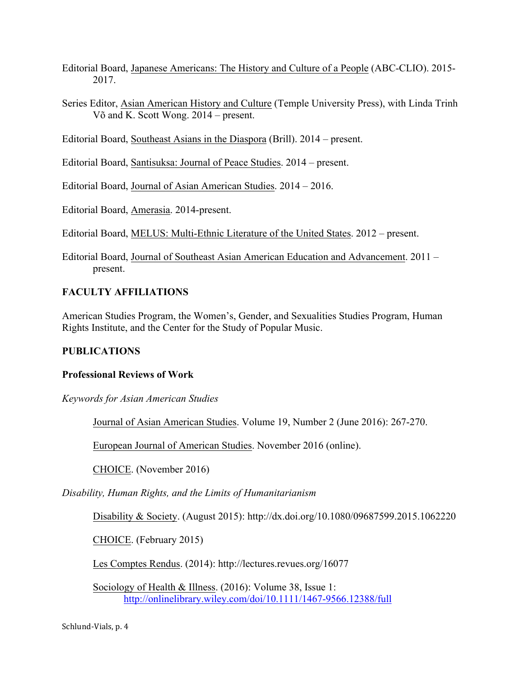- Editorial Board, Japanese Americans: The History and Culture of a People (ABC-CLIO). 2015- 2017.
- Series Editor, Asian American History and Culture (Temple University Press), with Linda Trinh Võ and K. Scott Wong. 2014 – present.
- Editorial Board, Southeast Asians in the Diaspora (Brill). 2014 present.

Editorial Board, Santisuksa: Journal of Peace Studies. 2014 – present.

Editorial Board, Journal of Asian American Studies. 2014 – 2016.

Editorial Board, Amerasia. 2014-present.

Editorial Board, MELUS: Multi-Ethnic Literature of the United States. 2012 – present.

Editorial Board, Journal of Southeast Asian American Education and Advancement. 2011 – present.

## **FACULTY AFFILIATIONS**

American Studies Program, the Women's, Gender, and Sexualities Studies Program, Human Rights Institute, and the Center for the Study of Popular Music.

## **PUBLICATIONS**

## **Professional Reviews of Work**

*Keywords for Asian American Studies*

Journal of Asian American Studies. Volume 19, Number 2 (June 2016): 267-270.

European Journal of American Studies. November 2016 (online).

CHOICE. (November 2016)

*Disability, Human Rights, and the Limits of Humanitarianism*

Disability & Society. (August 2015): http://dx.doi.org/10.1080/09687599.2015.1062220

CHOICE. (February 2015)

Les Comptes Rendus. (2014): http://lectures.revues.org/16077

Sociology of Health & Illness. (2016): Volume 38, Issue 1: http://onlinelibrary.wiley.com/doi/10.1111/1467-9566.12388/full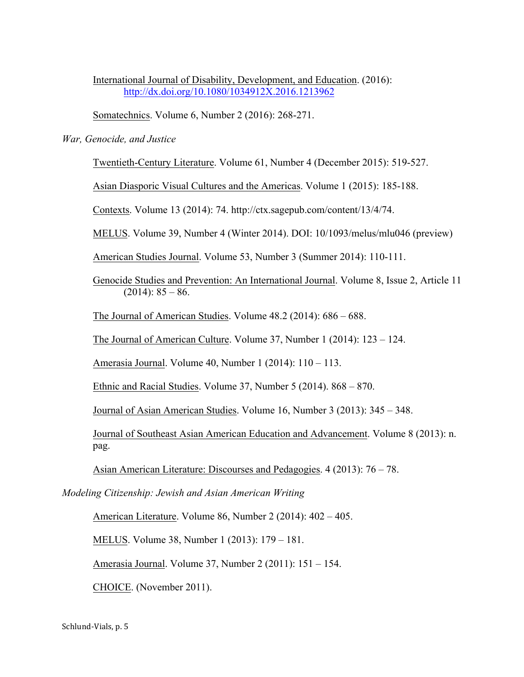International Journal of Disability, Development, and Education. (2016): http://dx.doi.org/10.1080/1034912X.2016.1213962

Somatechnics. Volume 6, Number 2 (2016): 268-271.

#### *War, Genocide, and Justice*

Twentieth-Century Literature. Volume 61, Number 4 (December 2015): 519-527.

Asian Diasporic Visual Cultures and the Americas. Volume 1 (2015): 185-188.

Contexts. Volume 13 (2014): 74. http://ctx.sagepub.com/content/13/4/74.

MELUS. Volume 39, Number 4 (Winter 2014). DOI: 10/1093/melus/mlu046 (preview)

American Studies Journal. Volume 53, Number 3 (Summer 2014): 110-111.

Genocide Studies and Prevention: An International Journal. Volume 8, Issue 2, Article 11  $(2014): 85 - 86.$ 

The Journal of American Studies. Volume 48.2 (2014): 686 – 688.

The Journal of American Culture. Volume 37, Number 1 (2014): 123 – 124.

Amerasia Journal. Volume 40, Number 1 (2014): 110 – 113.

Ethnic and Racial Studies. Volume 37, Number 5 (2014). 868 – 870.

Journal of Asian American Studies. Volume 16, Number 3 (2013): 345 – 348.

Journal of Southeast Asian American Education and Advancement. Volume 8 (2013): n. pag.

Asian American Literature: Discourses and Pedagogies. 4 (2013): 76 – 78.

*Modeling Citizenship: Jewish and Asian American Writing*

American Literature. Volume 86, Number 2 (2014): 402 – 405.

MELUS. Volume 38, Number 1 (2013): 179 – 181.

Amerasia Journal. Volume 37, Number 2 (2011): 151 – 154.

CHOICE. (November 2011).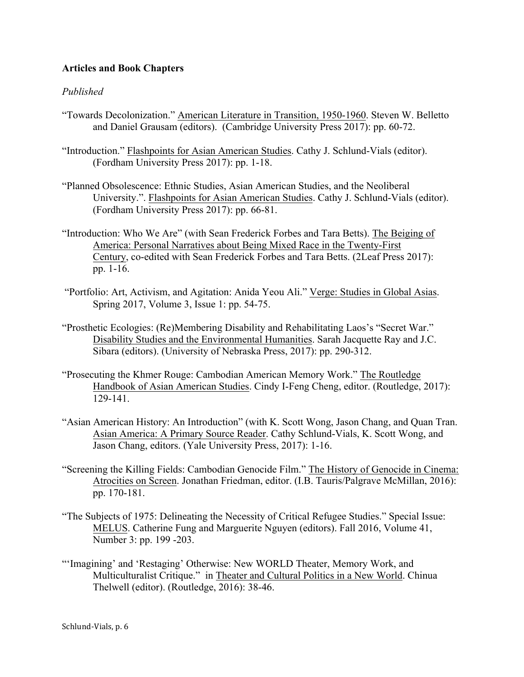## **Articles and Book Chapters**

## *Published*

- "Towards Decolonization." American Literature in Transition, 1950-1960. Steven W. Belletto and Daniel Grausam (editors). (Cambridge University Press 2017): pp. 60-72.
- "Introduction." Flashpoints for Asian American Studies. Cathy J. Schlund-Vials (editor). (Fordham University Press 2017): pp. 1-18.
- "Planned Obsolescence: Ethnic Studies, Asian American Studies, and the Neoliberal University.". Flashpoints for Asian American Studies. Cathy J. Schlund-Vials (editor). (Fordham University Press 2017): pp. 66-81.
- "Introduction: Who We Are" (with Sean Frederick Forbes and Tara Betts). The Beiging of America: Personal Narratives about Being Mixed Race in the Twenty-First Century, co-edited with Sean Frederick Forbes and Tara Betts. (2Leaf Press 2017): pp. 1-16.
- "Portfolio: Art, Activism, and Agitation: Anida Yeou Ali." Verge: Studies in Global Asias. Spring 2017, Volume 3, Issue 1: pp. 54-75.
- "Prosthetic Ecologies: (Re)Membering Disability and Rehabilitating Laos's "Secret War." Disability Studies and the Environmental Humanities. Sarah Jacquette Ray and J.C. Sibara (editors). (University of Nebraska Press, 2017): pp. 290-312.
- "Prosecuting the Khmer Rouge: Cambodian American Memory Work." The Routledge Handbook of Asian American Studies. Cindy I-Feng Cheng, editor. (Routledge, 2017): 129-141.
- "Asian American History: An Introduction" (with K. Scott Wong, Jason Chang, and Quan Tran. Asian America: A Primary Source Reader. Cathy Schlund-Vials, K. Scott Wong, and Jason Chang, editors. (Yale University Press, 2017): 1-16.
- "Screening the Killing Fields: Cambodian Genocide Film." The History of Genocide in Cinema: Atrocities on Screen. Jonathan Friedman, editor. (I.B. Tauris/Palgrave McMillan, 2016): pp. 170-181.
- "The Subjects of 1975: Delineating the Necessity of Critical Refugee Studies." Special Issue: MELUS. Catherine Fung and Marguerite Nguyen (editors). Fall 2016, Volume 41, Number 3: pp. 199 -203.
- "'Imagining' and 'Restaging' Otherwise: New WORLD Theater, Memory Work, and Multiculturalist Critique." in Theater and Cultural Politics in a New World. Chinua Thelwell (editor). (Routledge, 2016): 38-46.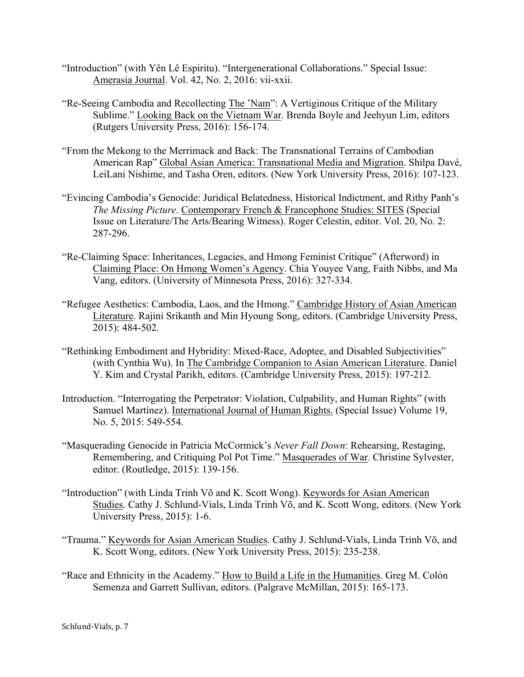- "Introduction" (with Yên Lê Espiritu). "Intergenerational Collaborations." Special Issue: Amerasia Journal. Vol. 42, No. 2, 2016: vii-xxii.
- "Re-Seeing Cambodia and Recollecting The 'Nam": A Vertiginous Critique of the Military Sublime." Looking Back on the Vietnam War. Brenda Boyle and Jeehyun Lim, editors (Rutgers University Press, 2016): 156-174.
- "From the Mekong to the Merrimack and Back: The Transnational Terrains of Cambodian American Rap" Global Asian America: Transnational Media and Migration. Shilpa Davé, LeiLani Nishime, and Tasha Oren, editors. (New York University Press, 2016): 107-123.
- "Evincing Cambodia's Genocide: Juridical Belatedness, Historical Indictment, and Rithy Panh's *The Missing Picture*. Contemporary French & Francophone Studies: SITES (Special Issue on Literature/The Arts/Bearing Witness). Roger Celestin, editor. Vol. 20, No. 2: 287-296.
- "Re-Claiming Space: Inheritances, Legacies, and Hmong Feminist Critique" (Afterword) in Claiming Place: On Hmong Women's Agency. Chia Youyee Vang, Faith Nibbs, and Ma Vang, editors. (University of Minnesota Press, 2016): 327-334.
- "Refugee Aesthetics: Cambodia, Laos, and the Hmong." Cambridge History of Asian American Literature. Rajini Srikanth and Min Hyoung Song, editors. (Cambridge University Press, 2015): 484-502.
- "Rethinking Embodiment and Hybridity: Mixed-Race, Adoptee, and Disabled Subjectivities" (with Cynthia Wu). In The Cambridge Companion to Asian American Literature. Daniel Y. Kim and Crystal Parikh, editors. (Cambridge University Press, 2015): 197-212.
- Introduction. "Interrogating the Perpetrator: Violation, Culpability, and Human Rights" (with Samuel Martínez). International Journal of Human Rights. (Special Issue) Volume 19, No. 5, 2015: 549-554.
- "Masquerading Genocide in Patricia McCormick's *Never Fall Down*: Rehearsing, Restaging, Remembering, and Critiquing Pol Pot Time." Masquerades of War. Christine Sylvester, editor. (Routledge, 2015): 139-156.
- "Introduction" (with Linda Trinh Võ and K. Scott Wong). Keywords for Asian American Studies. Cathy J. Schlund-Vials, Linda Trinh Võ, and K. Scott Wong, editors. (New York University Press, 2015): 1-6.
- "Trauma." Keywords for Asian American Studies. Cathy J. Schlund-Vials, Linda Trinh Võ, and K. Scott Wong, editors. (New York University Press, 2015): 235-238.
- "Race and Ethnicity in the Academy." How to Build a Life in the Humanities. Greg M. Colón Semenza and Garrett Sullivan, editors. (Palgrave McMillan, 2015): 165-173.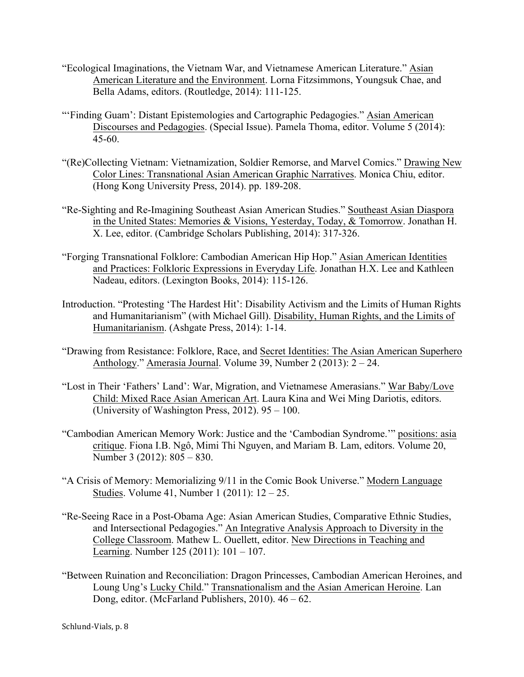- "Ecological Imaginations, the Vietnam War, and Vietnamese American Literature." Asian American Literature and the Environment. Lorna Fitzsimmons, Youngsuk Chae, and Bella Adams, editors. (Routledge, 2014): 111-125.
- "'Finding Guam': Distant Epistemologies and Cartographic Pedagogies." Asian American Discourses and Pedagogies. (Special Issue). Pamela Thoma, editor. Volume 5 (2014): 45-60.
- "(Re)Collecting Vietnam: Vietnamization, Soldier Remorse, and Marvel Comics." Drawing New Color Lines: Transnational Asian American Graphic Narratives. Monica Chiu, editor. (Hong Kong University Press, 2014). pp. 189-208.
- "Re-Sighting and Re-Imagining Southeast Asian American Studies." Southeast Asian Diaspora in the United States: Memories & Visions, Yesterday, Today, & Tomorrow. Jonathan H. X. Lee, editor. (Cambridge Scholars Publishing, 2014): 317-326.
- "Forging Transnational Folklore: Cambodian American Hip Hop." Asian American Identities and Practices: Folkloric Expressions in Everyday Life. Jonathan H.X. Lee and Kathleen Nadeau, editors. (Lexington Books, 2014): 115-126.
- Introduction. "Protesting 'The Hardest Hit': Disability Activism and the Limits of Human Rights and Humanitarianism" (with Michael Gill). Disability, Human Rights, and the Limits of Humanitarianism. (Ashgate Press, 2014): 1-14.
- "Drawing from Resistance: Folklore, Race, and Secret Identities: The Asian American Superhero Anthology." Amerasia Journal. Volume 39, Number 2 (2013): 2 – 24.
- "Lost in Their 'Fathers' Land': War, Migration, and Vietnamese Amerasians." War Baby/Love Child: Mixed Race Asian American Art. Laura Kina and Wei Ming Dariotis, editors. (University of Washington Press, 2012). 95 – 100.
- "Cambodian American Memory Work: Justice and the 'Cambodian Syndrome.'" positions: asia critique. Fiona I.B. Ngô, Mimi Thi Nguyen, and Mariam B. Lam, editors. Volume 20, Number 3 (2012): 805 – 830.
- "A Crisis of Memory: Memorializing 9/11 in the Comic Book Universe." Modern Language Studies. Volume 41, Number 1 (2011): 12 – 25.
- "Re-Seeing Race in a Post-Obama Age: Asian American Studies, Comparative Ethnic Studies, and Intersectional Pedagogies." An Integrative Analysis Approach to Diversity in the College Classroom. Mathew L. Ouellett, editor. New Directions in Teaching and Learning. Number 125 (2011): 101 – 107.
- "Between Ruination and Reconciliation: Dragon Princesses, Cambodian American Heroines, and Loung Ung's Lucky Child." Transnationalism and the Asian American Heroine. Lan Dong, editor. (McFarland Publishers, 2010). 46 – 62.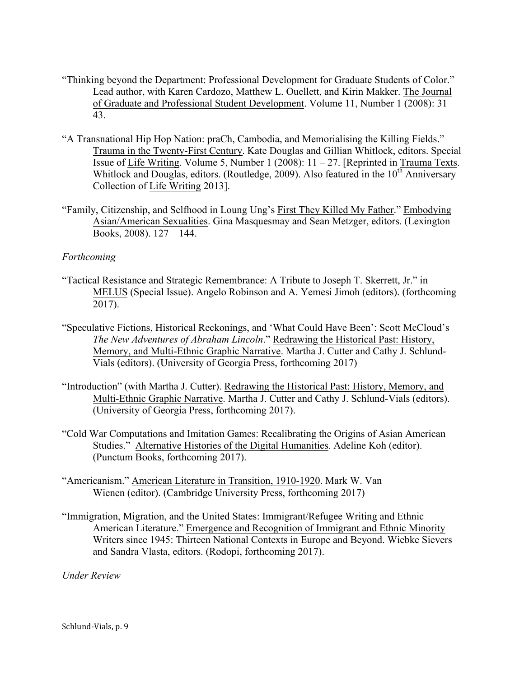- "Thinking beyond the Department: Professional Development for Graduate Students of Color." Lead author, with Karen Cardozo, Matthew L. Ouellett, and Kirin Makker. The Journal of Graduate and Professional Student Development. Volume 11, Number 1 (2008): 31 – 43.
- "A Transnational Hip Hop Nation: praCh, Cambodia, and Memorialising the Killing Fields." Trauma in the Twenty-First Century. Kate Douglas and Gillian Whitlock, editors. Special Issue of Life Writing. Volume 5, Number 1 (2008):  $11 - 27$ . [Reprinted in Trauma Texts. Whitlock and Douglas, editors. (Routledge, 2009). Also featured in the  $10<sup>th</sup>$  Anniversary Collection of Life Writing 2013].
- "Family, Citizenship, and Selfhood in Loung Ung's First They Killed My Father." Embodying Asian/American Sexualities. Gina Masquesmay and Sean Metzger, editors. (Lexington Books, 2008). 127 – 144.

### *Forthcoming*

- "Tactical Resistance and Strategic Remembrance: A Tribute to Joseph T. Skerrett, Jr." in MELUS (Special Issue). Angelo Robinson and A. Yemesi Jimoh (editors). (forthcoming 2017).
- "Speculative Fictions, Historical Reckonings, and 'What Could Have Been': Scott McCloud's *The New Adventures of Abraham Lincoln*." Redrawing the Historical Past: History, Memory, and Multi-Ethnic Graphic Narrative. Martha J. Cutter and Cathy J. Schlund-Vials (editors). (University of Georgia Press, forthcoming 2017)
- "Introduction" (with Martha J. Cutter). Redrawing the Historical Past: History, Memory, and Multi-Ethnic Graphic Narrative. Martha J. Cutter and Cathy J. Schlund-Vials (editors). (University of Georgia Press, forthcoming 2017).
- "Cold War Computations and Imitation Games: Recalibrating the Origins of Asian American Studies." Alternative Histories of the Digital Humanities. Adeline Koh (editor). (Punctum Books, forthcoming 2017).
- "Americanism." American Literature in Transition, 1910-1920. Mark W. Van Wienen (editor). (Cambridge University Press, forthcoming 2017)
- "Immigration, Migration, and the United States: Immigrant/Refugee Writing and Ethnic American Literature." Emergence and Recognition of Immigrant and Ethnic Minority Writers since 1945: Thirteen National Contexts in Europe and Beyond. Wiebke Sievers and Sandra Vlasta, editors. (Rodopi, forthcoming 2017).

*Under Review*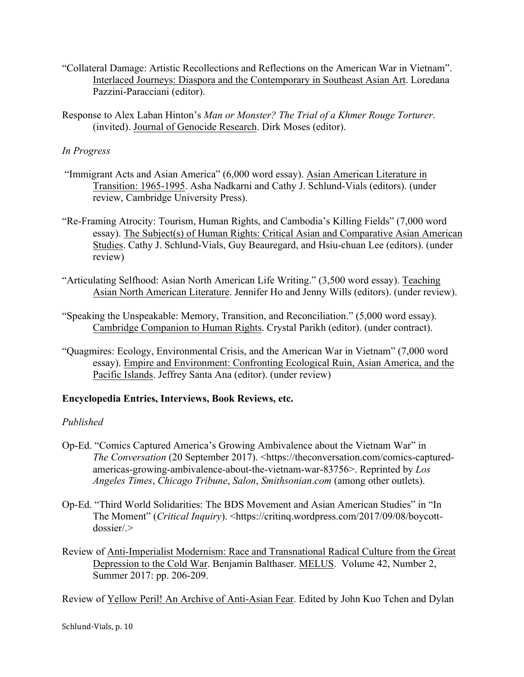- "Collateral Damage: Artistic Recollections and Reflections on the American War in Vietnam". Interlaced Journeys: Diaspora and the Contemporary in Southeast Asian Art. Loredana Pazzini-Paracciani (editor).
- Response to Alex Laban Hinton's *Man or Monster? The Trial of a Khmer Rouge Torturer*. (invited). Journal of Genocide Research. Dirk Moses (editor).

## *In Progress*

- "Immigrant Acts and Asian America" (6,000 word essay). Asian American Literature in Transition: 1965-1995. Asha Nadkarni and Cathy J. Schlund-Vials (editors). (under review, Cambridge University Press).
- "Re-Framing Atrocity: Tourism, Human Rights, and Cambodia's Killing Fields" (7,000 word essay). The Subject(s) of Human Rights: Critical Asian and Comparative Asian American Studies. Cathy J. Schlund-Vials, Guy Beauregard, and Hsiu-chuan Lee (editors). (under review)
- "Articulating Selfhood: Asian North American Life Writing." (3,500 word essay). Teaching Asian North American Literature. Jennifer Ho and Jenny Wills (editors). (under review).
- "Speaking the Unspeakable: Memory, Transition, and Reconciliation." (5,000 word essay). Cambridge Companion to Human Rights. Crystal Parikh (editor). (under contract).
- "Quagmires: Ecology, Environmental Crisis, and the American War in Vietnam" (7,000 word essay). Empire and Environment: Confronting Ecological Ruin, Asian America, and the Pacific Islands. Jeffrey Santa Ana (editor). (under review)

### **Encyclopedia Entries, Interviews, Book Reviews, etc.**

## *Published*

- Op-Ed. "Comics Captured America's Growing Ambivalence about the Vietnam War" in *The Conversation* (20 September 2017). <https://theconversation.com/comics-capturedamericas-growing-ambivalence-about-the-vietnam-war-83756>. Reprinted by *Los Angeles Times*, *Chicago Tribune*, *Salon*, *Smithsonian*.*com* (among other outlets).
- Op-Ed. "Third World Solidarities: The BDS Movement and Asian American Studies" in "In The Moment" (*Critical Inquiry*). <https://critinq.wordpress.com/2017/09/08/boycott $d$ ossier $/$
- Review of Anti-Imperialist Modernism: Race and Transnational Radical Culture from the Great Depression to the Cold War. Benjamin Balthaser. MELUS. Volume 42, Number 2, Summer 2017: pp. 206-209.

Review of Yellow Peril! An Archive of Anti-Asian Fear. Edited by John Kuo Tchen and Dylan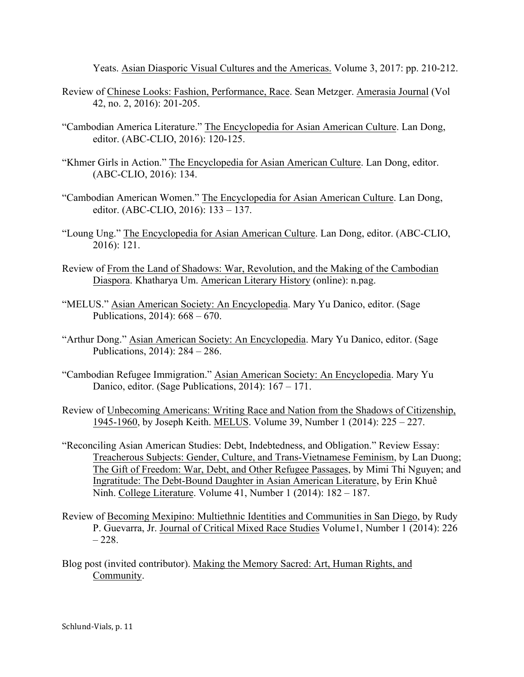Yeats. Asian Diasporic Visual Cultures and the Americas. Volume 3, 2017: pp. 210-212.

- Review of Chinese Looks: Fashion, Performance, Race. Sean Metzger. Amerasia Journal (Vol 42, no. 2, 2016): 201-205.
- "Cambodian America Literature." The Encyclopedia for Asian American Culture. Lan Dong, editor. (ABC-CLIO, 2016): 120-125.
- "Khmer Girls in Action." The Encyclopedia for Asian American Culture. Lan Dong, editor. (ABC-CLIO, 2016): 134.
- "Cambodian American Women." The Encyclopedia for Asian American Culture. Lan Dong, editor. (ABC-CLIO, 2016): 133 – 137.
- "Loung Ung." The Encyclopedia for Asian American Culture. Lan Dong, editor. (ABC-CLIO, 2016): 121.
- Review of From the Land of Shadows: War, Revolution, and the Making of the Cambodian Diaspora. Khatharya Um. American Literary History (online): n.pag.
- "MELUS." Asian American Society: An Encyclopedia. Mary Yu Danico, editor. (Sage Publications, 2014): 668 – 670.
- "Arthur Dong." Asian American Society: An Encyclopedia. Mary Yu Danico, editor. (Sage Publications, 2014): 284 – 286.
- "Cambodian Refugee Immigration." Asian American Society: An Encyclopedia. Mary Yu Danico, editor. (Sage Publications, 2014): 167 – 171.
- Review of Unbecoming Americans: Writing Race and Nation from the Shadows of Citizenship, 1945-1960, by Joseph Keith. MELUS. Volume 39, Number 1 (2014): 225 – 227.
- "Reconciling Asian American Studies: Debt, Indebtedness, and Obligation." Review Essay: Treacherous Subjects: Gender, Culture, and Trans-Vietnamese Feminism, by Lan Duong; The Gift of Freedom: War, Debt, and Other Refugee Passages, by Mimi Thi Nguyen; and Ingratitude: The Debt-Bound Daughter in Asian American Literature, by Erin Khuê Ninh. College Literature. Volume 41, Number 1 (2014): 182 – 187.
- Review of Becoming Mexipino: Multiethnic Identities and Communities in San Diego, by Rudy P. Guevarra, Jr. Journal of Critical Mixed Race Studies Volume1, Number 1 (2014): 226  $-228.$
- Blog post (invited contributor). Making the Memory Sacred: Art, Human Rights, and Community.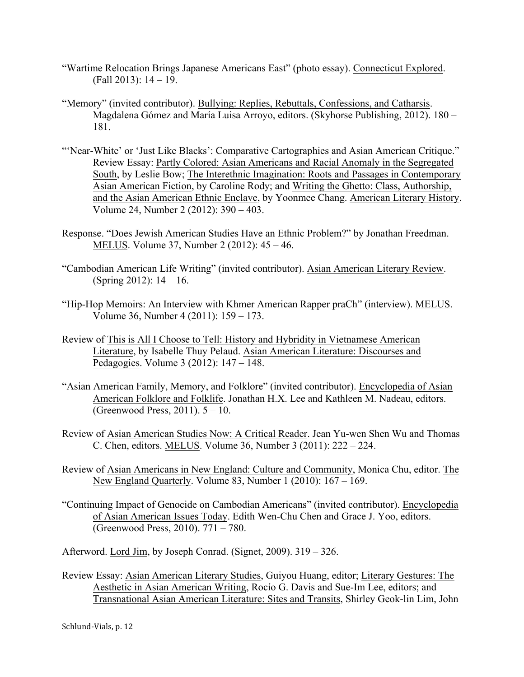- "Wartime Relocation Brings Japanese Americans East" (photo essay). Connecticut Explored. (Fall 2013): 14 – 19.
- "Memory" (invited contributor). Bullying: Replies, Rebuttals, Confessions, and Catharsis. Magdalena Gómez and María Luisa Arroyo, editors. (Skyhorse Publishing, 2012). 180 – 181.
- "'Near-White' or 'Just Like Blacks': Comparative Cartographies and Asian American Critique." Review Essay: Partly Colored: Asian Americans and Racial Anomaly in the Segregated South, by Leslie Bow; The Interethnic Imagination: Roots and Passages in Contemporary Asian American Fiction, by Caroline Rody; and Writing the Ghetto: Class, Authorship, and the Asian American Ethnic Enclave, by Yoonmee Chang. American Literary History. Volume 24, Number 2 (2012): 390 – 403.
- Response. "Does Jewish American Studies Have an Ethnic Problem?" by Jonathan Freedman. MELUS. Volume 37, Number 2 (2012): 45 – 46.
- "Cambodian American Life Writing" (invited contributor). Asian American Literary Review. (Spring 2012): 14 – 16.
- "Hip-Hop Memoirs: An Interview with Khmer American Rapper praCh" (interview). MELUS. Volume 36, Number 4 (2011): 159 – 173.
- Review of This is All I Choose to Tell: History and Hybridity in Vietnamese American Literature, by Isabelle Thuy Pelaud. Asian American Literature: Discourses and Pedagogies. Volume 3 (2012): 147 – 148.
- "Asian American Family, Memory, and Folklore" (invited contributor). Encyclopedia of Asian American Folklore and Folklife. Jonathan H.X. Lee and Kathleen M. Nadeau, editors. (Greenwood Press, 2011). 5 – 10.
- Review of Asian American Studies Now: A Critical Reader. Jean Yu-wen Shen Wu and Thomas C. Chen, editors. MELUS. Volume 36, Number 3 (2011): 222 – 224.
- Review of Asian Americans in New England: Culture and Community, Monica Chu, editor. The New England Quarterly. Volume 83, Number 1 (2010): 167 – 169.
- "Continuing Impact of Genocide on Cambodian Americans" (invited contributor). Encyclopedia of Asian American Issues Today. Edith Wen-Chu Chen and Grace J. Yoo, editors. (Greenwood Press, 2010). 771 – 780.

Afterword. Lord Jim, by Joseph Conrad. (Signet, 2009). 319 – 326.

Review Essay: Asian American Literary Studies, Guiyou Huang, editor; Literary Gestures: The Aesthetic in Asian American Writing, Rocío G. Davis and Sue-Im Lee, editors; and Transnational Asian American Literature: Sites and Transits, Shirley Geok-lin Lim, John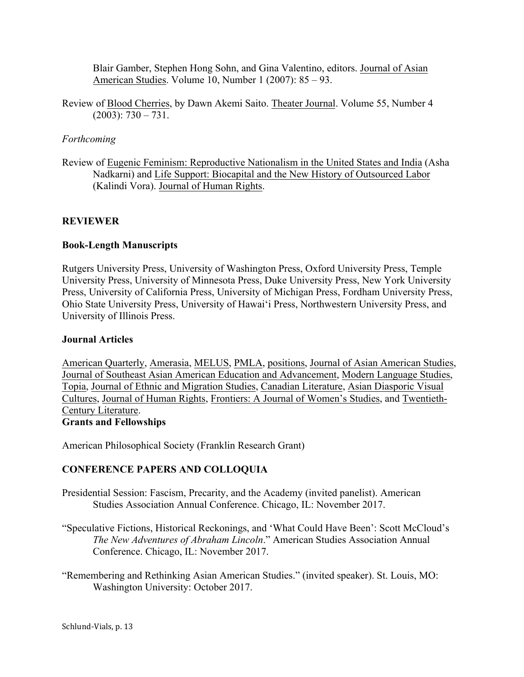Blair Gamber, Stephen Hong Sohn, and Gina Valentino, editors. Journal of Asian American Studies. Volume 10, Number 1 (2007): 85 – 93.

Review of Blood Cherries, by Dawn Akemi Saito. Theater Journal. Volume 55, Number 4  $(2003): 730 - 731.$ 

### *Forthcoming*

Review of Eugenic Feminism: Reproductive Nationalism in the United States and India (Asha Nadkarni) and Life Support: Biocapital and the New History of Outsourced Labor (Kalindi Vora). Journal of Human Rights.

## **REVIEWER**

### **Book-Length Manuscripts**

Rutgers University Press, University of Washington Press, Oxford University Press, Temple University Press, University of Minnesota Press, Duke University Press, New York University Press, University of California Press, University of Michigan Press, Fordham University Press, Ohio State University Press, University of Hawai'i Press, Northwestern University Press, and University of Illinois Press.

### **Journal Articles**

American Quarterly, Amerasia, MELUS, PMLA, positions, Journal of Asian American Studies, Journal of Southeast Asian American Education and Advancement, Modern Language Studies, Topia, Journal of Ethnic and Migration Studies, Canadian Literature, Asian Diasporic Visual Cultures, Journal of Human Rights, Frontiers: A Journal of Women's Studies, and Twentieth-Century Literature. **Grants and Fellowships**

American Philosophical Society (Franklin Research Grant)

## **CONFERENCE PAPERS AND COLLOQUIA**

Presidential Session: Fascism, Precarity, and the Academy (invited panelist). American Studies Association Annual Conference. Chicago, IL: November 2017.

"Speculative Fictions, Historical Reckonings, and 'What Could Have Been': Scott McCloud's *The New Adventures of Abraham Lincoln*." American Studies Association Annual Conference. Chicago, IL: November 2017.

"Remembering and Rethinking Asian American Studies." (invited speaker). St. Louis, MO: Washington University: October 2017.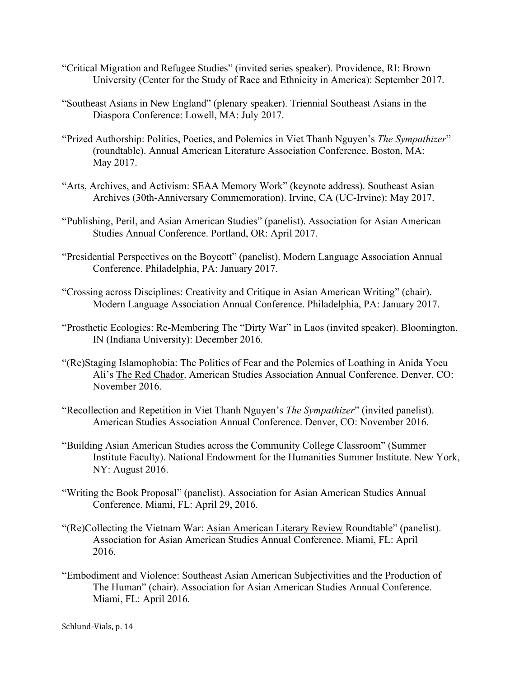- "Critical Migration and Refugee Studies" (invited series speaker). Providence, RI: Brown University (Center for the Study of Race and Ethnicity in America): September 2017.
- "Southeast Asians in New England" (plenary speaker). Triennial Southeast Asians in the Diaspora Conference: Lowell, MA: July 2017.
- "Prized Authorship: Politics, Poetics, and Polemics in Viet Thanh Nguyen's *The Sympathizer*" (roundtable). Annual American Literature Association Conference. Boston, MA: May 2017.
- "Arts, Archives, and Activism: SEAA Memory Work" (keynote address). Southeast Asian Archives (30th-Anniversary Commemoration). Irvine, CA (UC-Irvine): May 2017.
- "Publishing, Peril, and Asian American Studies" (panelist). Association for Asian American Studies Annual Conference. Portland, OR: April 2017.
- "Presidential Perspectives on the Boycott" (panelist). Modern Language Association Annual Conference. Philadelphia, PA: January 2017.
- "Crossing across Disciplines: Creativity and Critique in Asian American Writing" (chair). Modern Language Association Annual Conference. Philadelphia, PA: January 2017.
- "Prosthetic Ecologies: Re-Membering The "Dirty War" in Laos (invited speaker). Bloomington, IN (Indiana University): December 2016.
- "(Re)Staging Islamophobia: The Politics of Fear and the Polemics of Loathing in Anida Yoeu Ali's The Red Chador. American Studies Association Annual Conference. Denver, CO: November 2016.
- "Recollection and Repetition in Viet Thanh Nguyen's *The Sympathizer*" (invited panelist). American Studies Association Annual Conference. Denver, CO: November 2016.
- "Building Asian American Studies across the Community College Classroom" (Summer Institute Faculty). National Endowment for the Humanities Summer Institute. New York, NY: August 2016.
- "Writing the Book Proposal" (panelist). Association for Asian American Studies Annual Conference. Miami, FL: April 29, 2016.
- "(Re)Collecting the Vietnam War: Asian American Literary Review Roundtable" (panelist). Association for Asian American Studies Annual Conference. Miami, FL: April 2016.
- "Embodiment and Violence: Southeast Asian American Subjectivities and the Production of The Human" (chair). Association for Asian American Studies Annual Conference. Miami, FL: April 2016.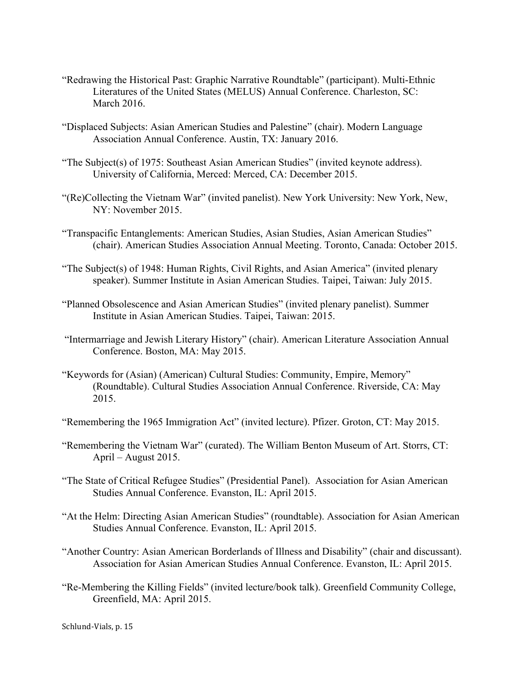- "Redrawing the Historical Past: Graphic Narrative Roundtable" (participant). Multi-Ethnic Literatures of the United States (MELUS) Annual Conference. Charleston, SC: March 2016.
- "Displaced Subjects: Asian American Studies and Palestine" (chair). Modern Language Association Annual Conference. Austin, TX: January 2016.
- "The Subject(s) of 1975: Southeast Asian American Studies" (invited keynote address). University of California, Merced: Merced, CA: December 2015.
- "(Re)Collecting the Vietnam War" (invited panelist). New York University: New York, New, NY: November 2015.
- "Transpacific Entanglements: American Studies, Asian Studies, Asian American Studies" (chair). American Studies Association Annual Meeting. Toronto, Canada: October 2015.
- "The Subject(s) of 1948: Human Rights, Civil Rights, and Asian America" (invited plenary speaker). Summer Institute in Asian American Studies. Taipei, Taiwan: July 2015.
- "Planned Obsolescence and Asian American Studies" (invited plenary panelist). Summer Institute in Asian American Studies. Taipei, Taiwan: 2015.
- "Intermarriage and Jewish Literary History" (chair). American Literature Association Annual Conference. Boston, MA: May 2015.
- "Keywords for (Asian) (American) Cultural Studies: Community, Empire, Memory" (Roundtable). Cultural Studies Association Annual Conference. Riverside, CA: May 2015.
- "Remembering the 1965 Immigration Act" (invited lecture). Pfizer. Groton, CT: May 2015.
- "Remembering the Vietnam War" (curated). The William Benton Museum of Art. Storrs, CT: April – August 2015.
- "The State of Critical Refugee Studies" (Presidential Panel). Association for Asian American Studies Annual Conference. Evanston, IL: April 2015.
- "At the Helm: Directing Asian American Studies" (roundtable). Association for Asian American Studies Annual Conference. Evanston, IL: April 2015.
- "Another Country: Asian American Borderlands of Illness and Disability" (chair and discussant). Association for Asian American Studies Annual Conference. Evanston, IL: April 2015.
- "Re-Membering the Killing Fields" (invited lecture/book talk). Greenfield Community College, Greenfield, MA: April 2015.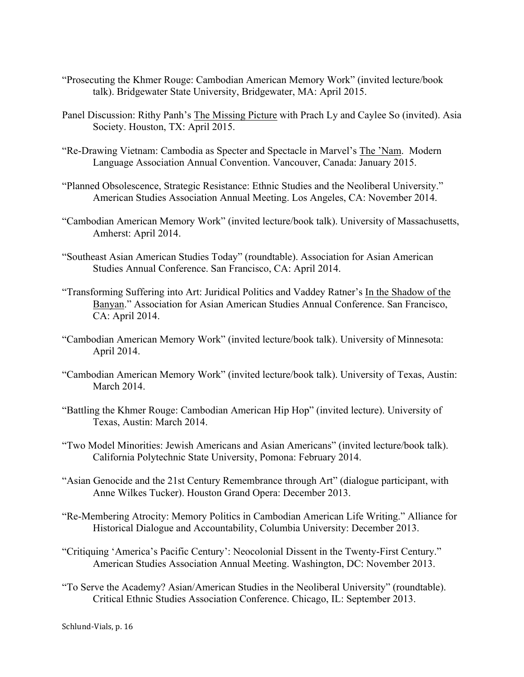- "Prosecuting the Khmer Rouge: Cambodian American Memory Work" (invited lecture/book talk). Bridgewater State University, Bridgewater, MA: April 2015.
- Panel Discussion: Rithy Panh's The Missing Picture with Prach Ly and Caylee So (invited). Asia Society. Houston, TX: April 2015.
- "Re-Drawing Vietnam: Cambodia as Specter and Spectacle in Marvel's The 'Nam. Modern Language Association Annual Convention. Vancouver, Canada: January 2015.
- "Planned Obsolescence, Strategic Resistance: Ethnic Studies and the Neoliberal University." American Studies Association Annual Meeting. Los Angeles, CA: November 2014.
- "Cambodian American Memory Work" (invited lecture/book talk). University of Massachusetts, Amherst: April 2014.
- "Southeast Asian American Studies Today" (roundtable). Association for Asian American Studies Annual Conference. San Francisco, CA: April 2014.
- "Transforming Suffering into Art: Juridical Politics and Vaddey Ratner's In the Shadow of the Banyan." Association for Asian American Studies Annual Conference. San Francisco, CA: April 2014.
- "Cambodian American Memory Work" (invited lecture/book talk). University of Minnesota: April 2014.
- "Cambodian American Memory Work" (invited lecture/book talk). University of Texas, Austin: March 2014.
- "Battling the Khmer Rouge: Cambodian American Hip Hop" (invited lecture). University of Texas, Austin: March 2014.
- "Two Model Minorities: Jewish Americans and Asian Americans" (invited lecture/book talk). California Polytechnic State University, Pomona: February 2014.
- "Asian Genocide and the 21st Century Remembrance through Art" (dialogue participant, with Anne Wilkes Tucker). Houston Grand Opera: December 2013.
- "Re-Membering Atrocity: Memory Politics in Cambodian American Life Writing." Alliance for Historical Dialogue and Accountability, Columbia University: December 2013.
- "Critiquing 'America's Pacific Century': Neocolonial Dissent in the Twenty-First Century." American Studies Association Annual Meeting. Washington, DC: November 2013.
- "To Serve the Academy? Asian/American Studies in the Neoliberal University" (roundtable). Critical Ethnic Studies Association Conference. Chicago, IL: September 2013.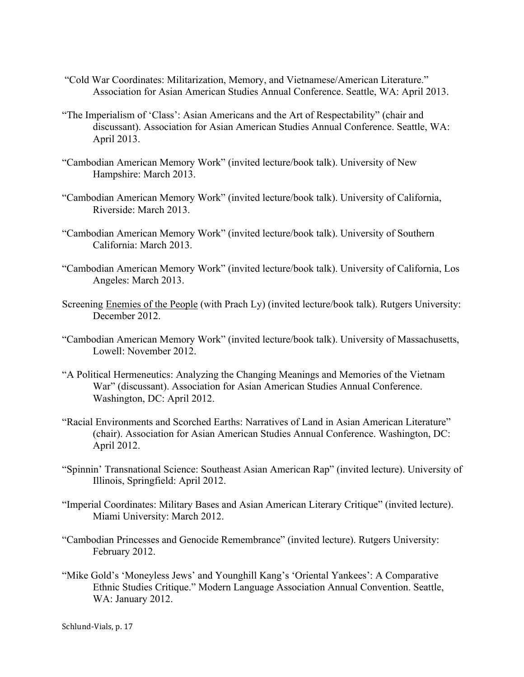- "Cold War Coordinates: Militarization, Memory, and Vietnamese/American Literature." Association for Asian American Studies Annual Conference. Seattle, WA: April 2013.
- "The Imperialism of 'Class': Asian Americans and the Art of Respectability" (chair and discussant). Association for Asian American Studies Annual Conference. Seattle, WA: April 2013.
- "Cambodian American Memory Work" (invited lecture/book talk). University of New Hampshire: March 2013.
- "Cambodian American Memory Work" (invited lecture/book talk). University of California, Riverside: March 2013.
- "Cambodian American Memory Work" (invited lecture/book talk). University of Southern California: March 2013.
- "Cambodian American Memory Work" (invited lecture/book talk). University of California, Los Angeles: March 2013.
- Screening Enemies of the People (with Prach Ly) (invited lecture/book talk). Rutgers University: December 2012.
- "Cambodian American Memory Work" (invited lecture/book talk). University of Massachusetts, Lowell: November 2012.
- "A Political Hermeneutics: Analyzing the Changing Meanings and Memories of the Vietnam War" (discussant). Association for Asian American Studies Annual Conference. Washington, DC: April 2012.
- "Racial Environments and Scorched Earths: Narratives of Land in Asian American Literature" (chair). Association for Asian American Studies Annual Conference. Washington, DC: April 2012.
- "Spinnin' Transnational Science: Southeast Asian American Rap" (invited lecture). University of Illinois, Springfield: April 2012.
- "Imperial Coordinates: Military Bases and Asian American Literary Critique" (invited lecture). Miami University: March 2012.
- "Cambodian Princesses and Genocide Remembrance" (invited lecture). Rutgers University: February 2012.
- "Mike Gold's 'Moneyless Jews' and Younghill Kang's 'Oriental Yankees': A Comparative Ethnic Studies Critique." Modern Language Association Annual Convention. Seattle, WA: January 2012.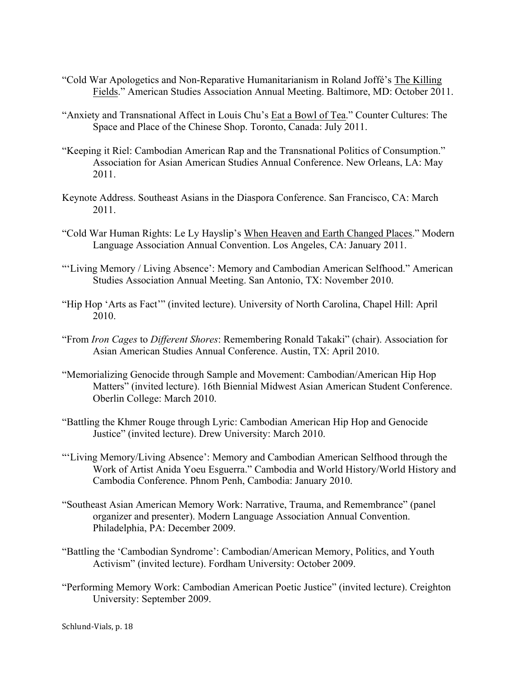- "Cold War Apologetics and Non-Reparative Humanitarianism in Roland Joffé's The Killing Fields." American Studies Association Annual Meeting. Baltimore, MD: October 2011.
- "Anxiety and Transnational Affect in Louis Chu's Eat a Bowl of Tea." Counter Cultures: The Space and Place of the Chinese Shop. Toronto, Canada: July 2011.
- "Keeping it Riel: Cambodian American Rap and the Transnational Politics of Consumption." Association for Asian American Studies Annual Conference. New Orleans, LA: May 2011.
- Keynote Address. Southeast Asians in the Diaspora Conference. San Francisco, CA: March 2011.
- "Cold War Human Rights: Le Ly Hayslip's When Heaven and Earth Changed Places." Modern Language Association Annual Convention. Los Angeles, CA: January 2011.
- "'Living Memory / Living Absence': Memory and Cambodian American Selfhood." American Studies Association Annual Meeting. San Antonio, TX: November 2010.
- "Hip Hop 'Arts as Fact'" (invited lecture). University of North Carolina, Chapel Hill: April 2010.
- "From *Iron Cages* to *Different Shores*: Remembering Ronald Takaki" (chair). Association for Asian American Studies Annual Conference. Austin, TX: April 2010.
- "Memorializing Genocide through Sample and Movement: Cambodian/American Hip Hop Matters" (invited lecture). 16th Biennial Midwest Asian American Student Conference. Oberlin College: March 2010.
- "Battling the Khmer Rouge through Lyric: Cambodian American Hip Hop and Genocide Justice" (invited lecture). Drew University: March 2010.
- "'Living Memory/Living Absence': Memory and Cambodian American Selfhood through the Work of Artist Anida Yoeu Esguerra." Cambodia and World History/World History and Cambodia Conference. Phnom Penh, Cambodia: January 2010.
- "Southeast Asian American Memory Work: Narrative, Trauma, and Remembrance" (panel organizer and presenter). Modern Language Association Annual Convention. Philadelphia, PA: December 2009.
- "Battling the 'Cambodian Syndrome': Cambodian/American Memory, Politics, and Youth Activism" (invited lecture). Fordham University: October 2009.
- "Performing Memory Work: Cambodian American Poetic Justice" (invited lecture). Creighton University: September 2009.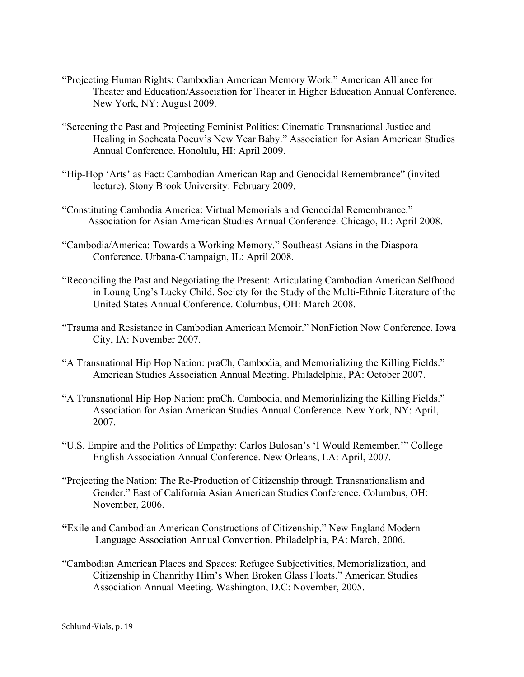- "Projecting Human Rights: Cambodian American Memory Work." American Alliance for Theater and Education/Association for Theater in Higher Education Annual Conference. New York, NY: August 2009.
- "Screening the Past and Projecting Feminist Politics: Cinematic Transnational Justice and Healing in Socheata Poeuv's New Year Baby." Association for Asian American Studies Annual Conference. Honolulu, HI: April 2009.
- "Hip-Hop 'Arts' as Fact: Cambodian American Rap and Genocidal Remembrance" (invited lecture). Stony Brook University: February 2009.
- "Constituting Cambodia America: Virtual Memorials and Genocidal Remembrance." Association for Asian American Studies Annual Conference. Chicago, IL: April 2008.
- "Cambodia/America: Towards a Working Memory." Southeast Asians in the Diaspora Conference. Urbana-Champaign, IL: April 2008.
- "Reconciling the Past and Negotiating the Present: Articulating Cambodian American Selfhood in Loung Ung's Lucky Child. Society for the Study of the Multi-Ethnic Literature of the United States Annual Conference. Columbus, OH: March 2008.
- "Trauma and Resistance in Cambodian American Memoir." NonFiction Now Conference. Iowa City, IA: November 2007.
- "A Transnational Hip Hop Nation: praCh, Cambodia, and Memorializing the Killing Fields." American Studies Association Annual Meeting. Philadelphia, PA: October 2007.
- "A Transnational Hip Hop Nation: praCh, Cambodia, and Memorializing the Killing Fields." Association for Asian American Studies Annual Conference. New York, NY: April, 2007.
- "U.S. Empire and the Politics of Empathy: Carlos Bulosan's 'I Would Remember.'" College English Association Annual Conference. New Orleans, LA: April, 2007.
- "Projecting the Nation: The Re-Production of Citizenship through Transnationalism and Gender." East of California Asian American Studies Conference. Columbus, OH: November, 2006.
- **"**Exile and Cambodian American Constructions of Citizenship." New England Modern Language Association Annual Convention. Philadelphia, PA: March, 2006.
- "Cambodian American Places and Spaces: Refugee Subjectivities, Memorialization, and Citizenship in Chanrithy Him's When Broken Glass Floats." American Studies Association Annual Meeting. Washington, D.C: November, 2005.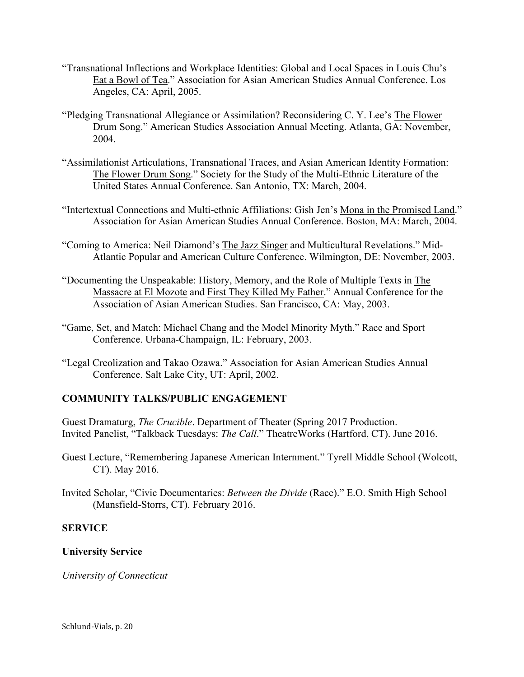- "Transnational Inflections and Workplace Identities: Global and Local Spaces in Louis Chu's Eat a Bowl of Tea." Association for Asian American Studies Annual Conference. Los Angeles, CA: April, 2005.
- "Pledging Transnational Allegiance or Assimilation? Reconsidering C. Y. Lee's The Flower Drum Song." American Studies Association Annual Meeting. Atlanta, GA: November, 2004.
- "Assimilationist Articulations, Transnational Traces, and Asian American Identity Formation: The Flower Drum Song." Society for the Study of the Multi-Ethnic Literature of the United States Annual Conference. San Antonio, TX: March, 2004.
- "Intertextual Connections and Multi-ethnic Affiliations: Gish Jen's Mona in the Promised Land." Association for Asian American Studies Annual Conference. Boston, MA: March, 2004.
- "Coming to America: Neil Diamond's The Jazz Singer and Multicultural Revelations." Mid-Atlantic Popular and American Culture Conference. Wilmington, DE: November, 2003.
- "Documenting the Unspeakable: History, Memory, and the Role of Multiple Texts in The Massacre at El Mozote and First They Killed My Father." Annual Conference for the Association of Asian American Studies. San Francisco, CA: May, 2003.
- "Game, Set, and Match: Michael Chang and the Model Minority Myth." Race and Sport Conference. Urbana-Champaign, IL: February, 2003.
- "Legal Creolization and Takao Ozawa." Association for Asian American Studies Annual Conference. Salt Lake City, UT: April, 2002.

# **COMMUNITY TALKS/PUBLIC ENGAGEMENT**

Guest Dramaturg, *The Crucible*. Department of Theater (Spring 2017 Production. Invited Panelist, "Talkback Tuesdays: *The Call*." TheatreWorks (Hartford, CT). June 2016.

- Guest Lecture, "Remembering Japanese American Internment." Tyrell Middle School (Wolcott, CT). May 2016.
- Invited Scholar, "Civic Documentaries: *Between the Divide* (Race)." E.O. Smith High School (Mansfield-Storrs, CT). February 2016.

## **SERVICE**

## **University Service**

*University of Connecticut*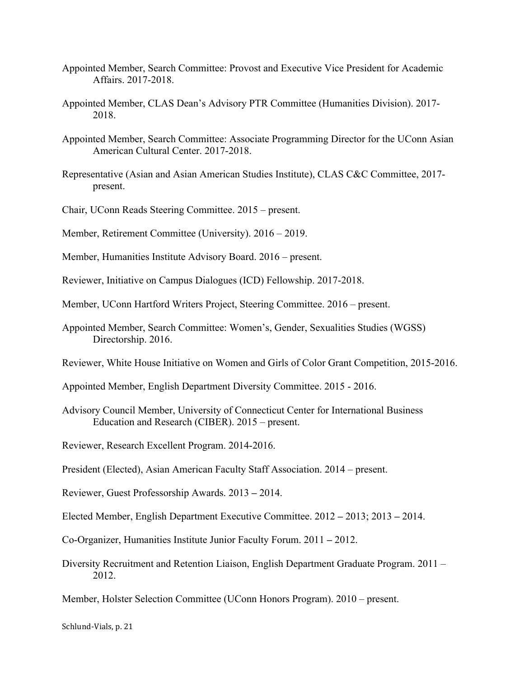- Appointed Member, Search Committee: Provost and Executive Vice President for Academic Affairs. 2017-2018.
- Appointed Member, CLAS Dean's Advisory PTR Committee (Humanities Division). 2017- 2018.
- Appointed Member, Search Committee: Associate Programming Director for the UConn Asian American Cultural Center. 2017-2018.
- Representative (Asian and Asian American Studies Institute), CLAS C&C Committee, 2017 present.
- Chair, UConn Reads Steering Committee. 2015 present.
- Member, Retirement Committee (University). 2016 2019.
- Member, Humanities Institute Advisory Board. 2016 present.
- Reviewer, Initiative on Campus Dialogues (ICD) Fellowship. 2017-2018.
- Member, UConn Hartford Writers Project, Steering Committee. 2016 present.
- Appointed Member, Search Committee: Women's, Gender, Sexualities Studies (WGSS) Directorship. 2016.
- Reviewer, White House Initiative on Women and Girls of Color Grant Competition, 2015-2016.
- Appointed Member, English Department Diversity Committee. 2015 2016.
- Advisory Council Member, University of Connecticut Center for International Business Education and Research (CIBER). 2015 – present.
- Reviewer, Research Excellent Program. 2014-2016.
- President (Elected), Asian American Faculty Staff Association. 2014 present.
- Reviewer, Guest Professorship Awards. 2013 **–** 2014.
- Elected Member, English Department Executive Committee. 2012 **–** 2013; 2013 **–** 2014.
- Co-Organizer, Humanities Institute Junior Faculty Forum. 2011 **–** 2012.
- Diversity Recruitment and Retention Liaison, English Department Graduate Program. 2011 2012.
- Member, Holster Selection Committee (UConn Honors Program). 2010 present.

Schlund-Vials, p. 21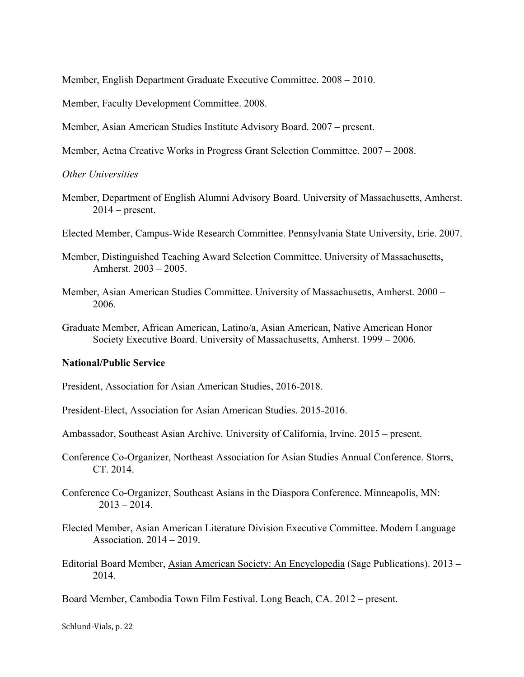Member, English Department Graduate Executive Committee. 2008 – 2010.

Member, Faculty Development Committee. 2008.

Member, Asian American Studies Institute Advisory Board. 2007 – present.

Member, Aetna Creative Works in Progress Grant Selection Committee. 2007 – 2008.

*Other Universities*

Member, Department of English Alumni Advisory Board. University of Massachusetts, Amherst.  $2014$  – present.

Elected Member, Campus-Wide Research Committee. Pennsylvania State University, Erie. 2007.

- Member, Distinguished Teaching Award Selection Committee. University of Massachusetts, Amherst. 2003 – 2005.
- Member, Asian American Studies Committee. University of Massachusetts, Amherst. 2000 2006.
- Graduate Member, African American, Latino/a, Asian American, Native American Honor Society Executive Board. University of Massachusetts, Amherst. 1999 **–** 2006.

#### **National/Public Service**

President, Association for Asian American Studies, 2016-2018.

President-Elect, Association for Asian American Studies. 2015-2016.

Ambassador, Southeast Asian Archive. University of California, Irvine. 2015 – present.

- Conference Co-Organizer, Northeast Association for Asian Studies Annual Conference. Storrs, CT. 2014.
- Conference Co-Organizer, Southeast Asians in the Diaspora Conference. Minneapolis, MN:  $2013 - 2014$ .
- Elected Member, Asian American Literature Division Executive Committee. Modern Language Association. 2014 – 2019.
- Editorial Board Member, Asian American Society: An Encyclopedia (Sage Publications). 2013 **–** 2014.

Board Member, Cambodia Town Film Festival. Long Beach, CA. 2012 **–** present.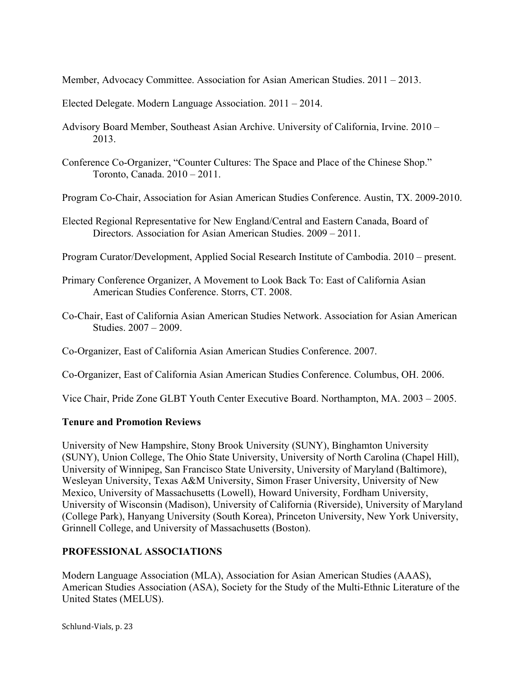Member, Advocacy Committee. Association for Asian American Studies. 2011 – 2013.

Elected Delegate. Modern Language Association. 2011 – 2014.

- Advisory Board Member, Southeast Asian Archive. University of California, Irvine. 2010 2013.
- Conference Co-Organizer, "Counter Cultures: The Space and Place of the Chinese Shop." Toronto, Canada. 2010 – 2011.

Program Co-Chair, Association for Asian American Studies Conference. Austin, TX. 2009-2010.

Elected Regional Representative for New England/Central and Eastern Canada, Board of Directors. Association for Asian American Studies. 2009 – 2011.

Program Curator/Development, Applied Social Research Institute of Cambodia. 2010 – present.

- Primary Conference Organizer, A Movement to Look Back To: East of California Asian American Studies Conference. Storrs, CT. 2008.
- Co-Chair, East of California Asian American Studies Network. Association for Asian American Studies. 2007 – 2009.

Co-Organizer, East of California Asian American Studies Conference. 2007.

Co-Organizer, East of California Asian American Studies Conference. Columbus, OH. 2006.

Vice Chair, Pride Zone GLBT Youth Center Executive Board. Northampton, MA. 2003 – 2005.

### **Tenure and Promotion Reviews**

University of New Hampshire, Stony Brook University (SUNY), Binghamton University (SUNY), Union College, The Ohio State University, University of North Carolina (Chapel Hill), University of Winnipeg, San Francisco State University, University of Maryland (Baltimore), Wesleyan University, Texas A&M University, Simon Fraser University, University of New Mexico, University of Massachusetts (Lowell), Howard University, Fordham University, University of Wisconsin (Madison), University of California (Riverside), University of Maryland (College Park), Hanyang University (South Korea), Princeton University, New York University, Grinnell College, and University of Massachusetts (Boston).

## **PROFESSIONAL ASSOCIATIONS**

Modern Language Association (MLA), Association for Asian American Studies (AAAS), American Studies Association (ASA), Society for the Study of the Multi-Ethnic Literature of the United States (MELUS).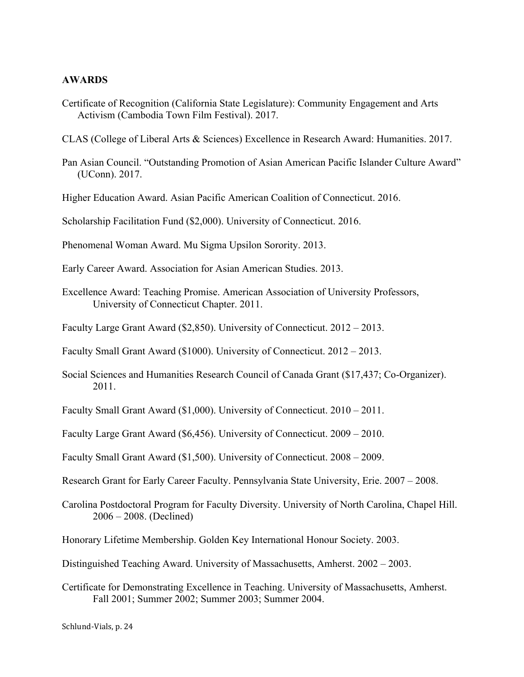#### **AWARDS**

- Certificate of Recognition (California State Legislature): Community Engagement and Arts Activism (Cambodia Town Film Festival). 2017.
- CLAS (College of Liberal Arts & Sciences) Excellence in Research Award: Humanities. 2017.
- Pan Asian Council. "Outstanding Promotion of Asian American Pacific Islander Culture Award" (UConn). 2017.
- Higher Education Award. Asian Pacific American Coalition of Connecticut. 2016.
- Scholarship Facilitation Fund (\$2,000). University of Connecticut. 2016.
- Phenomenal Woman Award. Mu Sigma Upsilon Sorority. 2013.
- Early Career Award. Association for Asian American Studies. 2013.
- Excellence Award: Teaching Promise. American Association of University Professors, University of Connecticut Chapter. 2011.
- Faculty Large Grant Award (\$2,850). University of Connecticut. 2012 2013.
- Faculty Small Grant Award (\$1000). University of Connecticut. 2012 2013.
- Social Sciences and Humanities Research Council of Canada Grant (\$17,437; Co-Organizer). 2011.
- Faculty Small Grant Award (\$1,000). University of Connecticut. 2010 2011.
- Faculty Large Grant Award (\$6,456). University of Connecticut. 2009 2010.
- Faculty Small Grant Award (\$1,500). University of Connecticut. 2008 2009.
- Research Grant for Early Career Faculty. Pennsylvania State University, Erie. 2007 2008.
- Carolina Postdoctoral Program for Faculty Diversity. University of North Carolina, Chapel Hill. 2006 – 2008. (Declined)
- Honorary Lifetime Membership. Golden Key International Honour Society. 2003.
- Distinguished Teaching Award. University of Massachusetts, Amherst. 2002 2003.
- Certificate for Demonstrating Excellence in Teaching. University of Massachusetts, Amherst. Fall 2001; Summer 2002; Summer 2003; Summer 2004.